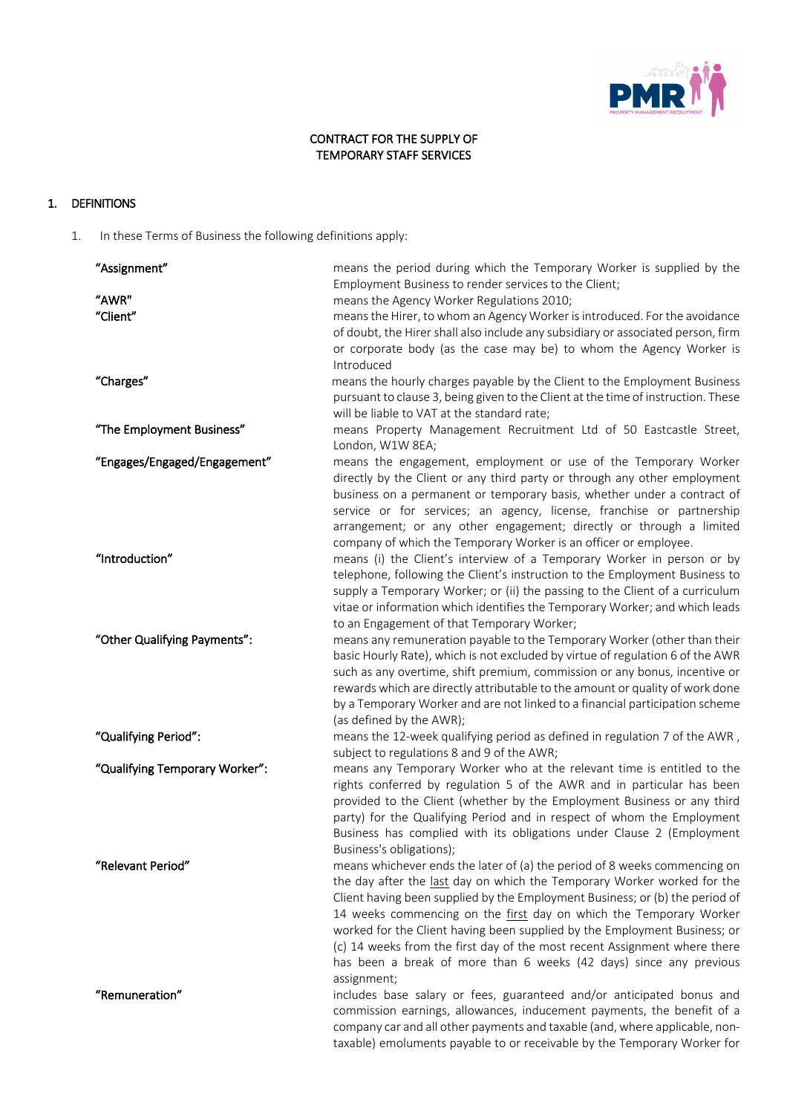

## CONTRACT FOR THE SUPPLY OF TEMPORARY STAFF SERVICES

# 1. DEFINITIONS

1. In these Terms of Business the following definitions apply:

| "Assignment"                   | means the period during which the Temporary Worker is supplied by the<br>Employment Business to render services to the Client;                                                                                                                                                                                                                                                                                                                                                                                                                            |
|--------------------------------|-----------------------------------------------------------------------------------------------------------------------------------------------------------------------------------------------------------------------------------------------------------------------------------------------------------------------------------------------------------------------------------------------------------------------------------------------------------------------------------------------------------------------------------------------------------|
| "AWR"                          | means the Agency Worker Regulations 2010;                                                                                                                                                                                                                                                                                                                                                                                                                                                                                                                 |
| "Client"                       | means the Hirer, to whom an Agency Worker is introduced. For the avoidance<br>of doubt, the Hirer shall also include any subsidiary or associated person, firm<br>or corporate body (as the case may be) to whom the Agency Worker is<br>Introduced                                                                                                                                                                                                                                                                                                       |
| "Charges"                      | means the hourly charges payable by the Client to the Employment Business<br>pursuant to clause 3, being given to the Client at the time of instruction. These<br>will be liable to VAT at the standard rate;                                                                                                                                                                                                                                                                                                                                             |
| "The Employment Business"      | means Property Management Recruitment Ltd of 50 Eastcastle Street,<br>London, W1W 8EA;                                                                                                                                                                                                                                                                                                                                                                                                                                                                    |
| "Engages/Engaged/Engagement"   | means the engagement, employment or use of the Temporary Worker<br>directly by the Client or any third party or through any other employment<br>business on a permanent or temporary basis, whether under a contract of<br>service or for services; an agency, license, franchise or partnership<br>arrangement; or any other engagement; directly or through a limited<br>company of which the Temporary Worker is an officer or employee.                                                                                                               |
| "Introduction"                 | means (i) the Client's interview of a Temporary Worker in person or by<br>telephone, following the Client's instruction to the Employment Business to<br>supply a Temporary Worker; or (ii) the passing to the Client of a curriculum<br>vitae or information which identifies the Temporary Worker; and which leads<br>to an Engagement of that Temporary Worker;                                                                                                                                                                                        |
| "Other Qualifying Payments":   | means any remuneration payable to the Temporary Worker (other than their<br>basic Hourly Rate), which is not excluded by virtue of regulation 6 of the AWR<br>such as any overtime, shift premium, commission or any bonus, incentive or<br>rewards which are directly attributable to the amount or quality of work done<br>by a Temporary Worker and are not linked to a financial participation scheme<br>(as defined by the AWR);                                                                                                                     |
| "Qualifying Period":           | means the 12-week qualifying period as defined in regulation 7 of the AWR,<br>subject to regulations 8 and 9 of the AWR;                                                                                                                                                                                                                                                                                                                                                                                                                                  |
| "Qualifying Temporary Worker": | means any Temporary Worker who at the relevant time is entitled to the<br>rights conferred by regulation 5 of the AWR and in particular has been<br>provided to the Client (whether by the Employment Business or any third<br>party) for the Qualifying Period and in respect of whom the Employment<br>Business has complied with its obligations under Clause 2 (Employment<br>Business's obligations);                                                                                                                                                |
| "Relevant Period"              | means whichever ends the later of (a) the period of 8 weeks commencing on<br>the day after the last day on which the Temporary Worker worked for the<br>Client having been supplied by the Employment Business; or (b) the period of<br>14 weeks commencing on the first day on which the Temporary Worker<br>worked for the Client having been supplied by the Employment Business; or<br>(c) 14 weeks from the first day of the most recent Assignment where there<br>has been a break of more than 6 weeks (42 days) since any previous<br>assignment; |
| "Remuneration"                 | includes base salary or fees, guaranteed and/or anticipated bonus and<br>commission earnings, allowances, inducement payments, the benefit of a<br>company car and all other payments and taxable (and, where applicable, non-<br>taxable) emoluments payable to or receivable by the Temporary Worker for                                                                                                                                                                                                                                                |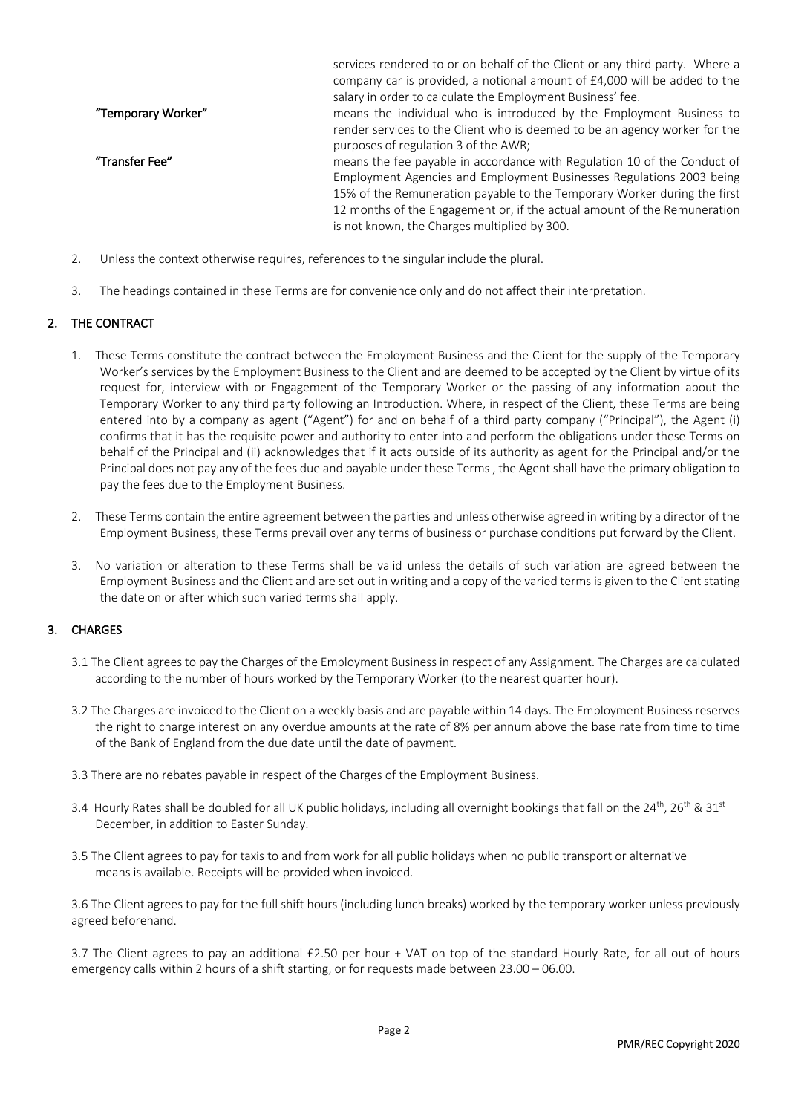|                    | services rendered to or on behalf of the Client or any third party. Where a |
|--------------------|-----------------------------------------------------------------------------|
|                    | company car is provided, a notional amount of £4,000 will be added to the   |
|                    | salary in order to calculate the Employment Business' fee.                  |
| "Temporary Worker" | means the individual who is introduced by the Employment Business to        |
|                    | render services to the Client who is deemed to be an agency worker for the  |
|                    | purposes of regulation 3 of the AWR;                                        |
| "Transfer Fee"     | means the fee payable in accordance with Regulation 10 of the Conduct of    |
|                    | Employment Agencies and Employment Businesses Regulations 2003 being        |
|                    | 15% of the Remuneration payable to the Temporary Worker during the first    |
|                    | 12 months of the Engagement or, if the actual amount of the Remuneration    |
|                    | is not known, the Charges multiplied by 300.                                |

- 2. Unless the context otherwise requires, references to the singular include the plural.
- 3. The headings contained in these Terms are for convenience only and do not affect their interpretation.

#### 2. THE CONTRACT

- 1. These Terms constitute the contract between the Employment Business and the Client for the supply of the Temporary Worker's services by the Employment Business to the Client and are deemed to be accepted by the Client by virtue of its request for, interview with or Engagement of the Temporary Worker or the passing of any information about the Temporary Worker to any third party following an Introduction. Where, in respect of the Client, these Terms are being entered into by a company as agent ("Agent") for and on behalf of a third party company ("Principal"), the Agent (i) confirms that it has the requisite power and authority to enter into and perform the obligations under these Terms on behalf of the Principal and (ii) acknowledges that if it acts outside of its authority as agent for the Principal and/or the Principal does not pay any of the fees due and payable under these Terms , the Agent shall have the primary obligation to pay the fees due to the Employment Business.
- 2. These Terms contain the entire agreement between the parties and unless otherwise agreed in writing by a director of the Employment Business, these Terms prevail over any terms of business or purchase conditions put forward by the Client.
- 3. No variation or alteration to these Terms shall be valid unless the details of such variation are agreed between the Employment Business and the Client and are set out in writing and a copy of the varied terms is given to the Client stating the date on or after which such varied terms shall apply.

## 3. CHARGES

- 3.1 The Client agrees to pay the Charges of the Employment Business in respect of any Assignment. The Charges are calculated according to the number of hours worked by the Temporary Worker (to the nearest quarter hour).
- 3.2 The Charges are invoiced to the Client on a weekly basis and are payable within 14 days. The Employment Business reserves the right to charge interest on any overdue amounts at the rate of 8% per annum above the base rate from time to time of the Bank of England from the due date until the date of payment.
- 3.3 There are no rebates payable in respect of the Charges of the Employment Business.
- 3.4 Hourly Rates shall be doubled for all UK public holidays, including all overnight bookings that fall on the  $24^{th}$ ,  $26^{th}$  &  $31^{st}$ December, in addition to Easter Sunday.
- 3.5 The Client agrees to pay for taxis to and from work for all public holidays when no public transport or alternative means is available. Receipts will be provided when invoiced.

3.6 The Client agrees to pay for the full shift hours (including lunch breaks) worked by the temporary worker unless previously agreed beforehand.

3.7 The Client agrees to pay an additional £2.50 per hour + VAT on top of the standard Hourly Rate, for all out of hours emergency calls within 2 hours of a shift starting, or for requests made between 23.00 – 06.00.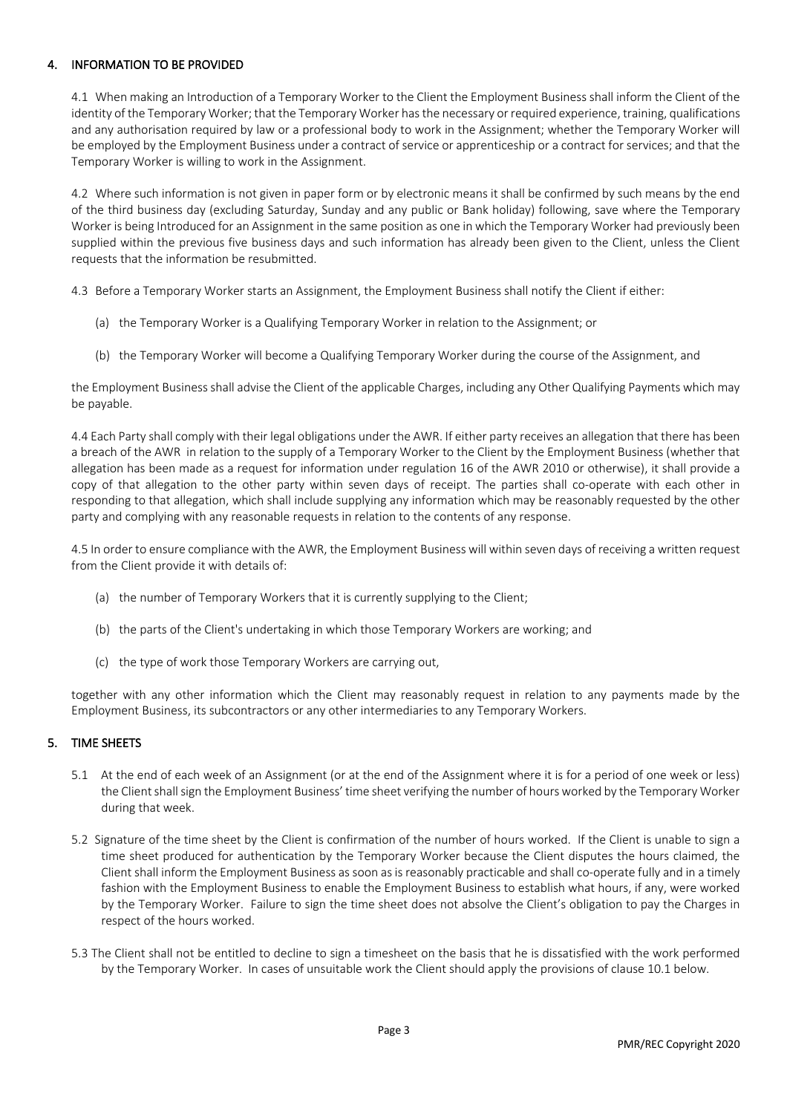## 4. INFORMATION TO BE PROVIDED

4.1 When making an Introduction of a Temporary Worker to the Client the Employment Business shall inform the Client of the identity of the Temporary Worker; that the Temporary Worker has the necessary or required experience, training, qualifications and any authorisation required by law or a professional body to work in the Assignment; whether the Temporary Worker will be employed by the Employment Business under a contract of service or apprenticeship or a contract for services; and that the Temporary Worker is willing to work in the Assignment.

4.2 Where such information is not given in paper form or by electronic means it shall be confirmed by such means by the end of the third business day (excluding Saturday, Sunday and any public or Bank holiday) following, save where the Temporary Worker is being Introduced for an Assignment in the same position as one in which the Temporary Worker had previously been supplied within the previous five business days and such information has already been given to the Client, unless the Client requests that the information be resubmitted.

4.3 Before a Temporary Worker starts an Assignment, the Employment Business shall notify the Client if either:

- (a) the Temporary Worker is a Qualifying Temporary Worker in relation to the Assignment; or
- (b) the Temporary Worker will become a Qualifying Temporary Worker during the course of the Assignment, and

the Employment Business shall advise the Client of the applicable Charges, including any Other Qualifying Payments which may be payable.

4.4 Each Party shall comply with their legal obligations under the AWR. If either party receives an allegation that there has been a breach of the AWR in relation to the supply of a Temporary Worker to the Client by the Employment Business (whether that allegation has been made as a request for information under regulation 16 of the AWR 2010 or otherwise), it shall provide a copy of that allegation to the other party within seven days of receipt. The parties shall co-operate with each other in responding to that allegation, which shall include supplying any information which may be reasonably requested by the other party and complying with any reasonable requests in relation to the contents of any response.

4.5 In order to ensure compliance with the AWR, the Employment Business will within seven days of receiving a written request from the Client provide it with details of:

- (a) the number of Temporary Workers that it is currently supplying to the Client;
- (b) the parts of the Client's undertaking in which those Temporary Workers are working; and
- (c) the type of work those Temporary Workers are carrying out,

together with any other information which the Client may reasonably request in relation to any payments made by the Employment Business, its subcontractors or any other intermediaries to any Temporary Workers.

### 5. TIME SHEETS

- 5.1 At the end of each week of an Assignment (or at the end of the Assignment where it is for a period of one week or less) the Client shall sign the Employment Business' time sheet verifying the number of hours worked by the Temporary Worker during that week.
- 5.2 Signature of the time sheet by the Client is confirmation of the number of hours worked. If the Client is unable to sign a time sheet produced for authentication by the Temporary Worker because the Client disputes the hours claimed, the Client shall inform the Employment Business as soon as is reasonably practicable and shall co-operate fully and in a timely fashion with the Employment Business to enable the Employment Business to establish what hours, if any, were worked by the Temporary Worker. Failure to sign the time sheet does not absolve the Client's obligation to pay the Charges in respect of the hours worked.
- 5.3 The Client shall not be entitled to decline to sign a timesheet on the basis that he is dissatisfied with the work performed by the Temporary Worker. In cases of unsuitable work the Client should apply the provisions of clause 10.1 below.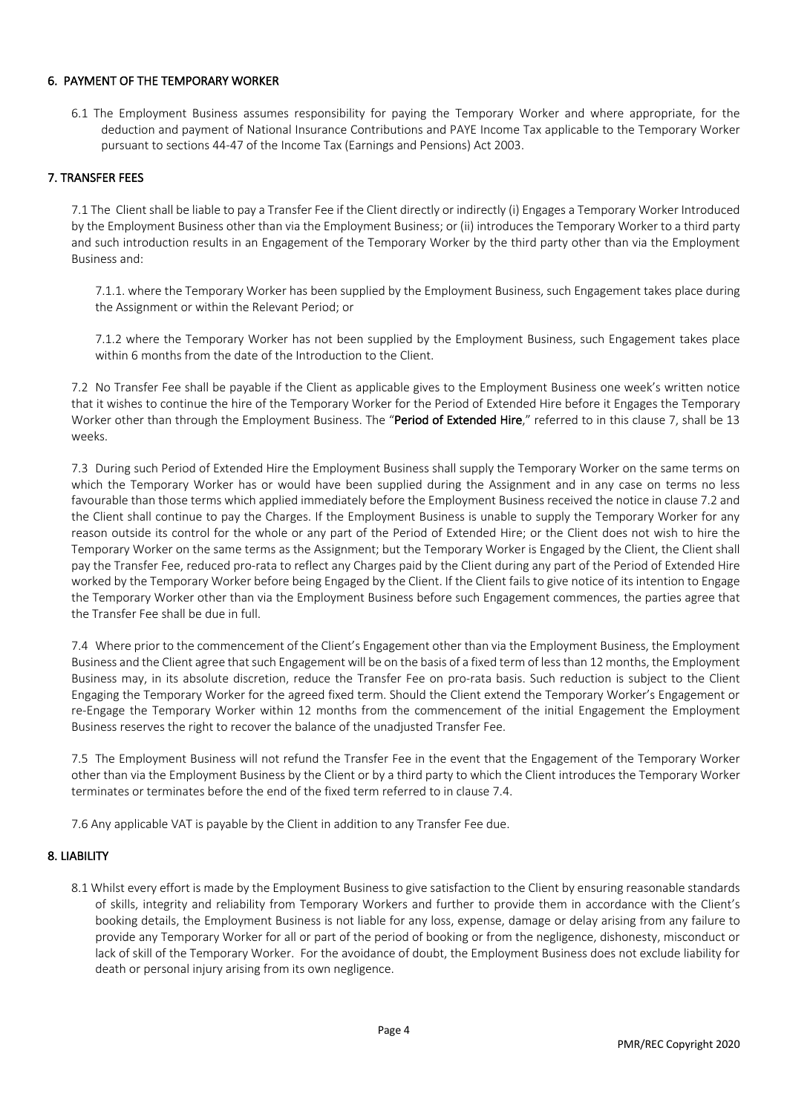#### 6. PAYMENT OF THE TEMPORARY WORKER

6.1 The Employment Business assumes responsibility for paying the Temporary Worker and where appropriate, for the deduction and payment of National Insurance Contributions and PAYE Income Tax applicable to the Temporary Worker pursuant to sections 44-47 of the Income Tax (Earnings and Pensions) Act 2003.

### 7. TRANSFER FEES

7.1 The Client shall be liable to pay a Transfer Fee if the Client directly or indirectly (i) Engages a Temporary Worker Introduced by the Employment Business other than via the Employment Business; or (ii) introduces the Temporary Worker to a third party and such introduction results in an Engagement of the Temporary Worker by the third party other than via the Employment Business and:

7.1.1. where the Temporary Worker has been supplied by the Employment Business, such Engagement takes place during the Assignment or within the Relevant Period; or

7.1.2 where the Temporary Worker has not been supplied by the Employment Business, such Engagement takes place within 6 months from the date of the Introduction to the Client.

7.2 No Transfer Fee shall be payable if the Client as applicable gives to the Employment Business one week's written notice that it wishes to continue the hire of the Temporary Worker for the Period of Extended Hire before it Engages the Temporary Worker other than through the Employment Business. The "Period of Extended Hire," referred to in this clause 7, shall be 13 weeks.

7.3 During such Period of Extended Hire the Employment Business shall supply the Temporary Worker on the same terms on which the Temporary Worker has or would have been supplied during the Assignment and in any case on terms no less favourable than those terms which applied immediately before the Employment Business received the notice in clause 7.2 and the Client shall continue to pay the Charges. If the Employment Business is unable to supply the Temporary Worker for any reason outside its control for the whole or any part of the Period of Extended Hire; or the Client does not wish to hire the Temporary Worker on the same terms as the Assignment; but the Temporary Worker is Engaged by the Client, the Client shall pay the Transfer Fee, reduced pro-rata to reflect any Charges paid by the Client during any part of the Period of Extended Hire worked by the Temporary Worker before being Engaged by the Client. If the Client fails to give notice of its intention to Engage the Temporary Worker other than via the Employment Business before such Engagement commences, the parties agree that the Transfer Fee shall be due in full.

7.4 Where prior to the commencement of the Client's Engagement other than via the Employment Business, the Employment Business and the Client agree that such Engagement will be on the basis of a fixed term of less than 12 months, the Employment Business may, in its absolute discretion, reduce the Transfer Fee on pro-rata basis. Such reduction is subject to the Client Engaging the Temporary Worker for the agreed fixed term. Should the Client extend the Temporary Worker's Engagement or re-Engage the Temporary Worker within 12 months from the commencement of the initial Engagement the Employment Business reserves the right to recover the balance of the unadjusted Transfer Fee.

7.5 The Employment Business will not refund the Transfer Fee in the event that the Engagement of the Temporary Worker other than via the Employment Business by the Client or by a third party to which the Client introduces the Temporary Worker terminates or terminates before the end of the fixed term referred to in clause 7.4.

7.6 Any applicable VAT is payable by the Client in addition to any Transfer Fee due.

#### 8. LIABILITY

8.1 Whilst every effort is made by the Employment Business to give satisfaction to the Client by ensuring reasonable standards of skills, integrity and reliability from Temporary Workers and further to provide them in accordance with the Client's booking details, the Employment Business is not liable for any loss, expense, damage or delay arising from any failure to provide any Temporary Worker for all or part of the period of booking or from the negligence, dishonesty, misconduct or lack of skill of the Temporary Worker. For the avoidance of doubt, the Employment Business does not exclude liability for death or personal injury arising from its own negligence.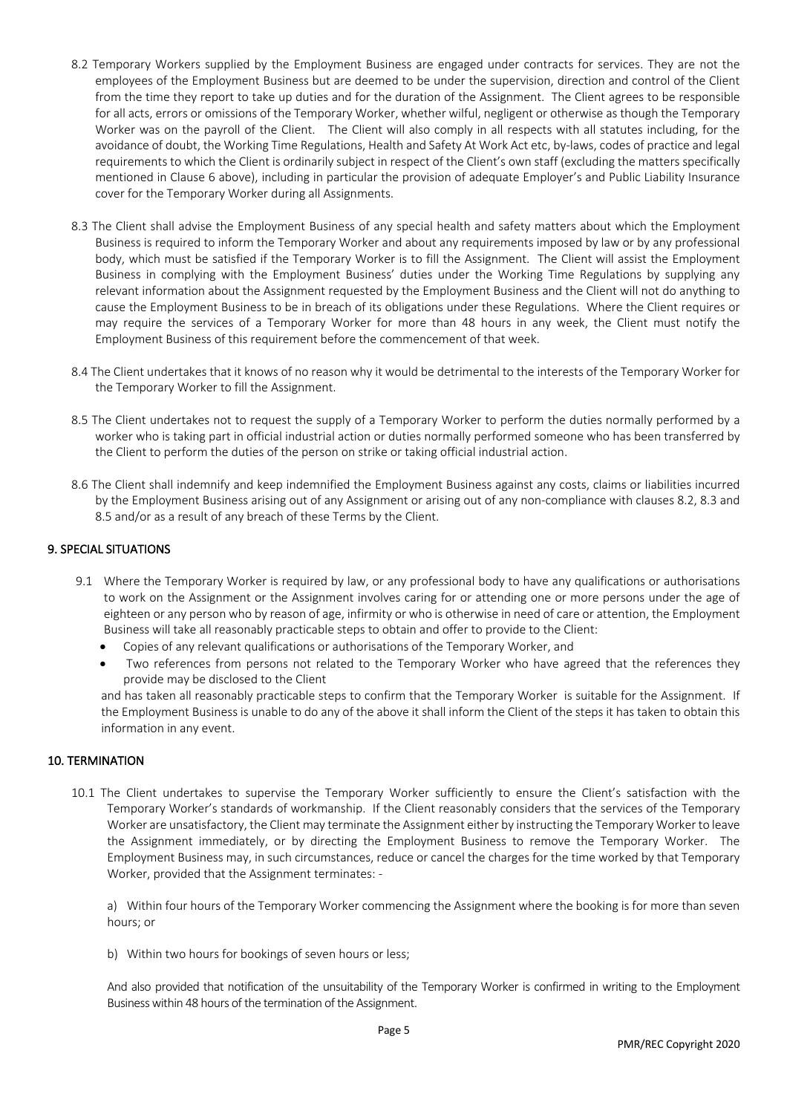- 8.2 Temporary Workers supplied by the Employment Business are engaged under contracts for services. They are not the employees of the Employment Business but are deemed to be under the supervision, direction and control of the Client from the time they report to take up duties and for the duration of the Assignment. The Client agrees to be responsible for all acts, errors or omissions of the Temporary Worker, whether wilful, negligent or otherwise as though the Temporary Worker was on the payroll of the Client. The Client will also comply in all respects with all statutes including, for the avoidance of doubt, the Working Time Regulations, Health and Safety At Work Act etc, by-laws, codes of practice and legal requirements to which the Client is ordinarily subject in respect of the Client's own staff (excluding the matters specifically mentioned in Clause 6 above), including in particular the provision of adequate Employer's and Public Liability Insurance cover for the Temporary Worker during all Assignments.
- 8.3 The Client shall advise the Employment Business of any special health and safety matters about which the Employment Business is required to inform the Temporary Worker and about any requirements imposed by law or by any professional body, which must be satisfied if the Temporary Worker is to fill the Assignment. The Client will assist the Employment Business in complying with the Employment Business' duties under the Working Time Regulations by supplying any relevant information about the Assignment requested by the Employment Business and the Client will not do anything to cause the Employment Business to be in breach of its obligations under these Regulations. Where the Client requires or may require the services of a Temporary Worker for more than 48 hours in any week, the Client must notify the Employment Business of this requirement before the commencement of that week.
- 8.4 The Client undertakes that it knows of no reason why it would be detrimental to the interests of the Temporary Worker for the Temporary Worker to fill the Assignment.
- 8.5 The Client undertakes not to request the supply of a Temporary Worker to perform the duties normally performed by a worker who is taking part in official industrial action or duties normally performed someone who has been transferred by the Client to perform the duties of the person on strike or taking official industrial action.
- 8.6 The Client shall indemnify and keep indemnified the Employment Business against any costs, claims or liabilities incurred by the Employment Business arising out of any Assignment or arising out of any non-compliance with clauses 8.2, 8.3 and 8.5 and/or as a result of any breach of these Terms by the Client.

### 9. SPECIAL SITUATIONS

- 9.1 Where the Temporary Worker is required by law, or any professional body to have any qualifications or authorisations to work on the Assignment or the Assignment involves caring for or attending one or more persons under the age of eighteen or any person who by reason of age, infirmity or who is otherwise in need of care or attention, the Employment Business will take all reasonably practicable steps to obtain and offer to provide to the Client:
	- Copies of any relevant qualifications or authorisations of the Temporary Worker, and
	- Two references from persons not related to the Temporary Worker who have agreed that the references they provide may be disclosed to the Client

and has taken all reasonably practicable steps to confirm that the Temporary Worker is suitable for the Assignment. If the Employment Business is unable to do any of the above it shall inform the Client of the steps it has taken to obtain this information in any event.

#### 10. TERMINATION

10.1 The Client undertakes to supervise the Temporary Worker sufficiently to ensure the Client's satisfaction with the Temporary Worker's standards of workmanship. If the Client reasonably considers that the services of the Temporary Worker are unsatisfactory, the Client may terminate the Assignment either by instructing the Temporary Worker to leave the Assignment immediately, or by directing the Employment Business to remove the Temporary Worker. The Employment Business may, in such circumstances, reduce or cancel the charges for the time worked by that Temporary Worker, provided that the Assignment terminates: -

a) Within four hours of the Temporary Worker commencing the Assignment where the booking is for more than seven hours; or

b) Within two hours for bookings of seven hours or less;

And also provided that notification of the unsuitability of the Temporary Worker is confirmed in writing to the Employment Business within 48 hours of the termination of the Assignment.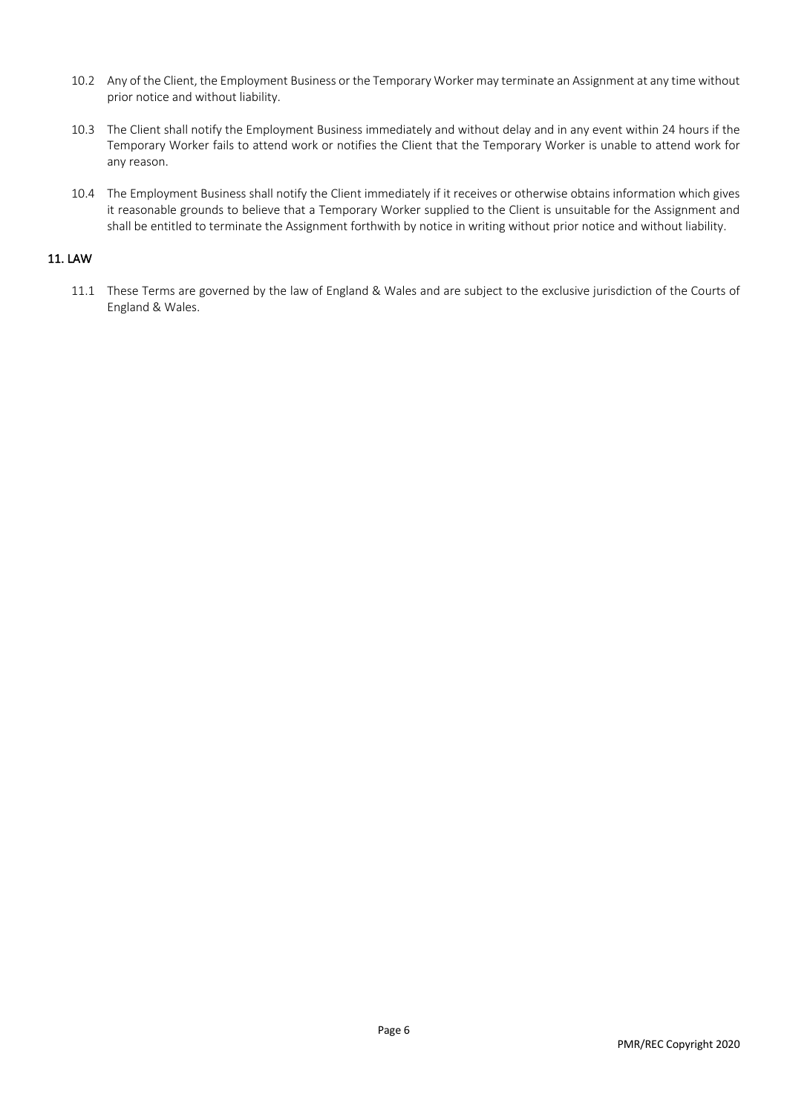- 10.2 Any of the Client, the Employment Business or the Temporary Worker may terminate an Assignment at any time without prior notice and without liability.
- 10.3 The Client shall notify the Employment Business immediately and without delay and in any event within 24 hours if the Temporary Worker fails to attend work or notifies the Client that the Temporary Worker is unable to attend work for any reason.
- 10.4 The Employment Business shall notify the Client immediately if it receives or otherwise obtains information which gives it reasonable grounds to believe that a Temporary Worker supplied to the Client is unsuitable for the Assignment and shall be entitled to terminate the Assignment forthwith by notice in writing without prior notice and without liability.

### 11. LAW

11.1 These Terms are governed by the law of England & Wales and are subject to the exclusive jurisdiction of the Courts of England & Wales.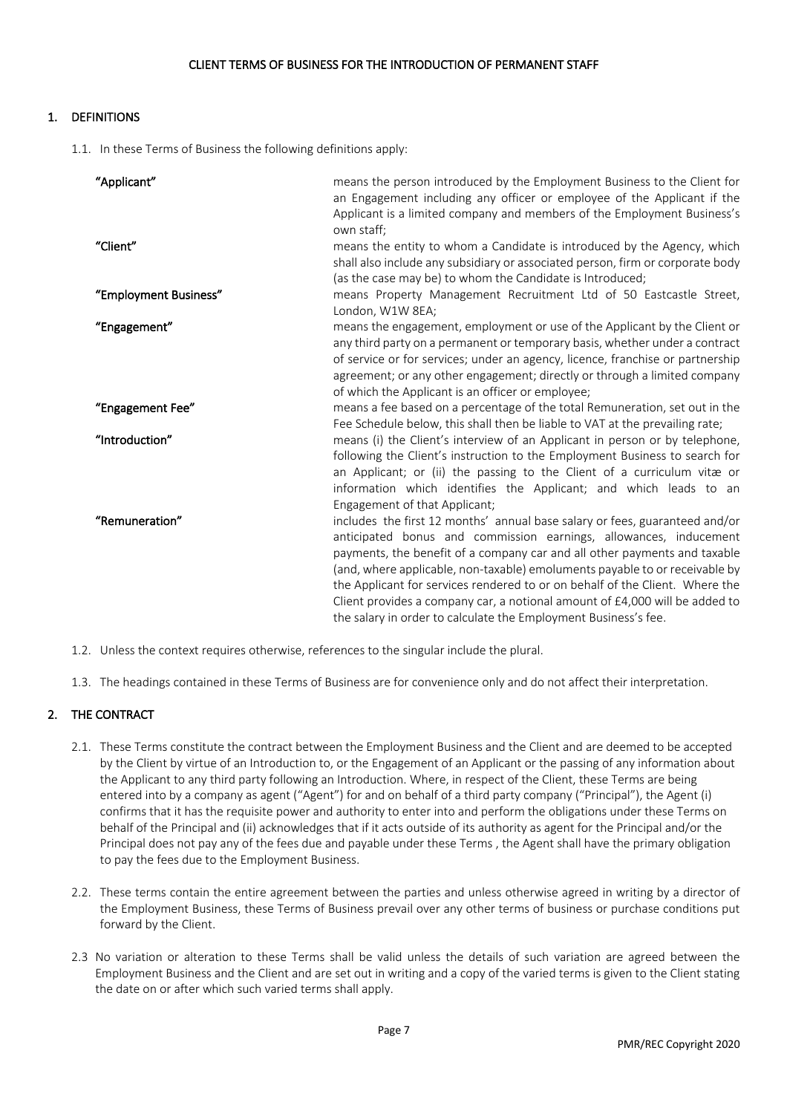# 1. DEFINITIONS

1.1. In these Terms of Business the following definitions apply:

| "Applicant"           | means the person introduced by the Employment Business to the Client for              |
|-----------------------|---------------------------------------------------------------------------------------|
|                       | an Engagement including any officer or employee of the Applicant if the               |
|                       | Applicant is a limited company and members of the Employment Business's<br>own staff; |
| "Client"              | means the entity to whom a Candidate is introduced by the Agency, which               |
|                       | shall also include any subsidiary or associated person, firm or corporate body        |
|                       | (as the case may be) to whom the Candidate is Introduced;                             |
| "Employment Business" | means Property Management Recruitment Ltd of 50 Eastcastle Street,                    |
|                       | London, W1W 8EA;                                                                      |
| "Engagement"          | means the engagement, employment or use of the Applicant by the Client or             |
|                       | any third party on a permanent or temporary basis, whether under a contract           |
|                       | of service or for services; under an agency, licence, franchise or partnership        |
|                       | agreement; or any other engagement; directly or through a limited company             |
|                       | of which the Applicant is an officer or employee;                                     |
| "Engagement Fee"      | means a fee based on a percentage of the total Remuneration, set out in the           |
|                       | Fee Schedule below, this shall then be liable to VAT at the prevailing rate;          |
| "Introduction"        | means (i) the Client's interview of an Applicant in person or by telephone,           |
|                       | following the Client's instruction to the Employment Business to search for           |
|                       | an Applicant; or (ii) the passing to the Client of a curriculum vitæ or               |
|                       | information which identifies the Applicant; and which leads to an                     |
|                       | Engagement of that Applicant;                                                         |
| "Remuneration"        | includes the first 12 months' annual base salary or fees, guaranteed and/or           |
|                       | anticipated bonus and commission earnings, allowances, inducement                     |
|                       | payments, the benefit of a company car and all other payments and taxable             |
|                       | (and, where applicable, non-taxable) emoluments payable to or receivable by           |
|                       | the Applicant for services rendered to or on behalf of the Client. Where the          |
|                       | Client provides a company car, a notional amount of £4,000 will be added to           |
|                       | the salary in order to calculate the Employment Business's fee.                       |

- 1.2. Unless the context requires otherwise, references to the singular include the plural.
- 1.3. The headings contained in these Terms of Business are for convenience only and do not affect their interpretation.

### 2. THE CONTRACT

- 2.1. These Terms constitute the contract between the Employment Business and the Client and are deemed to be accepted by the Client by virtue of an Introduction to, or the Engagement of an Applicant or the passing of any information about the Applicant to any third party following an Introduction. Where, in respect of the Client, these Terms are being entered into by a company as agent ("Agent") for and on behalf of a third party company ("Principal"), the Agent (i) confirms that it has the requisite power and authority to enter into and perform the obligations under these Terms on behalf of the Principal and (ii) acknowledges that if it acts outside of its authority as agent for the Principal and/or the Principal does not pay any of the fees due and payable under these Terms , the Agent shall have the primary obligation to pay the fees due to the Employment Business.
- 2.2. These terms contain the entire agreement between the parties and unless otherwise agreed in writing by a director of the Employment Business, these Terms of Business prevail over any other terms of business or purchase conditions put forward by the Client.
- 2.3 No variation or alteration to these Terms shall be valid unless the details of such variation are agreed between the Employment Business and the Client and are set out in writing and a copy of the varied terms is given to the Client stating the date on or after which such varied terms shall apply.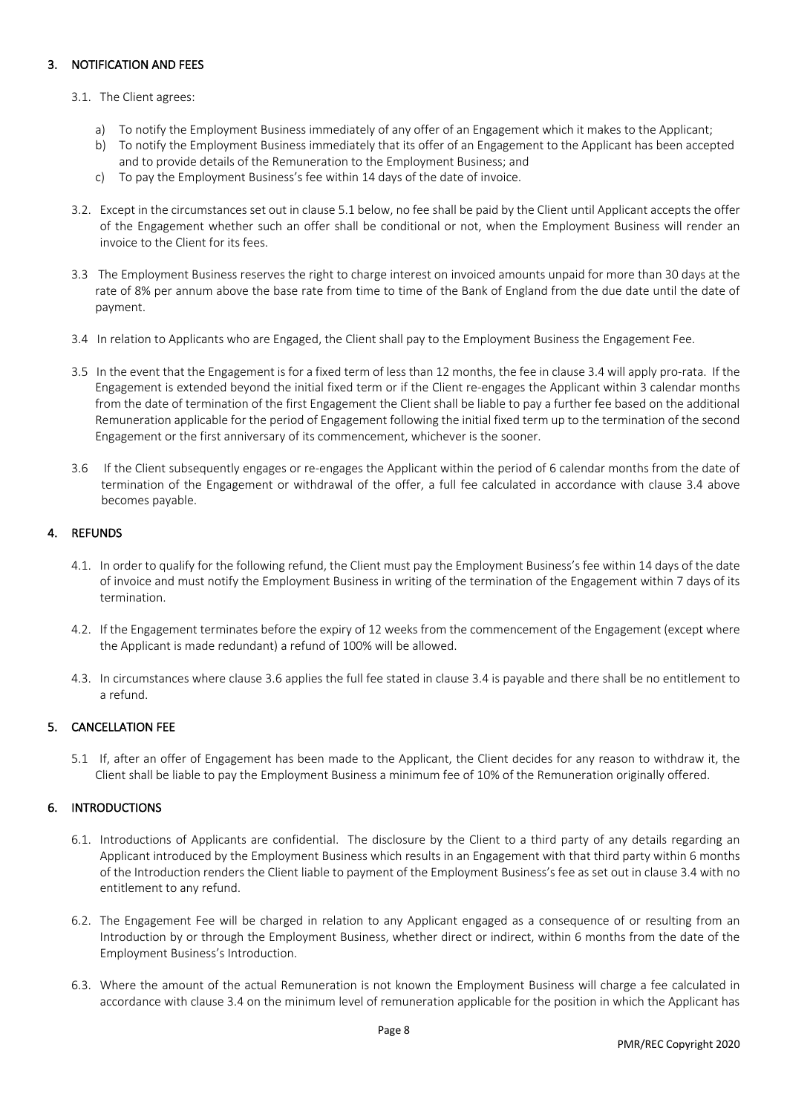## 3. NOTIFICATION AND FEES

#### 3.1. The Client agrees:

- a) To notify the Employment Business immediately of any offer of an Engagement which it makes to the Applicant;
- b) To notify the Employment Business immediately that its offer of an Engagement to the Applicant has been accepted and to provide details of the Remuneration to the Employment Business; and
- c) To pay the Employment Business's fee within 14 days of the date of invoice.
- 3.2. Except in the circumstances set out in clause 5.1 below, no fee shall be paid by the Client until Applicant accepts the offer of the Engagement whether such an offer shall be conditional or not, when the Employment Business will render an invoice to the Client for its fees.
- 3.3 The Employment Business reserves the right to charge interest on invoiced amounts unpaid for more than 30 days at the rate of 8% per annum above the base rate from time to time of the Bank of England from the due date until the date of payment.
- 3.4In relation to Applicants who are Engaged, the Client shall pay to the Employment Business the Engagement Fee.
- 3.5 In the event that the Engagement is for a fixed term of less than 12 months, the fee in clause 3.4 will apply pro-rata. If the Engagement is extended beyond the initial fixed term or if the Client re-engages the Applicant within 3 calendar months from the date of termination of the first Engagement the Client shall be liable to pay a further fee based on the additional Remuneration applicable for the period of Engagement following the initial fixed term up to the termination of the second Engagement or the first anniversary of its commencement, whichever is the sooner.
- 3.6 If the Client subsequently engages or re-engages the Applicant within the period of 6 calendar months from the date of termination of the Engagement or withdrawal of the offer, a full fee calculated in accordance with clause 3.4 above becomes payable.

#### 4. REFUNDS

- 4.1. In order to qualify for the following refund, the Client must pay the Employment Business's fee within 14 days of the date of invoice and must notify the Employment Business in writing of the termination of the Engagement within 7 days of its termination.
- 4.2. If the Engagement terminates before the expiry of 12 weeks from the commencement of the Engagement (except where the Applicant is made redundant) a refund of 100% will be allowed.
- 4.3. In circumstances where clause 3.6 applies the full fee stated in clause 3.4 is payable and there shall be no entitlement to a refund.

### 5. CANCELLATION FEE

5.1 If, after an offer of Engagement has been made to the Applicant, the Client decides for any reason to withdraw it, the Client shall be liable to pay the Employment Business a minimum fee of 10% of the Remuneration originally offered.

### 6. INTRODUCTIONS

- 6.1. Introductions of Applicants are confidential. The disclosure by the Client to a third party of any details regarding an Applicant introduced by the Employment Business which results in an Engagement with that third party within 6 months of the Introduction renders the Client liable to payment of the Employment Business's fee as set out in clause 3.4 with no entitlement to any refund.
- 6.2. The Engagement Fee will be charged in relation to any Applicant engaged as a consequence of or resulting from an Introduction by or through the Employment Business, whether direct or indirect, within 6 months from the date of the Employment Business's Introduction.
- 6.3. Where the amount of the actual Remuneration is not known the Employment Business will charge a fee calculated in accordance with clause 3.4 on the minimum level of remuneration applicable for the position in which the Applicant has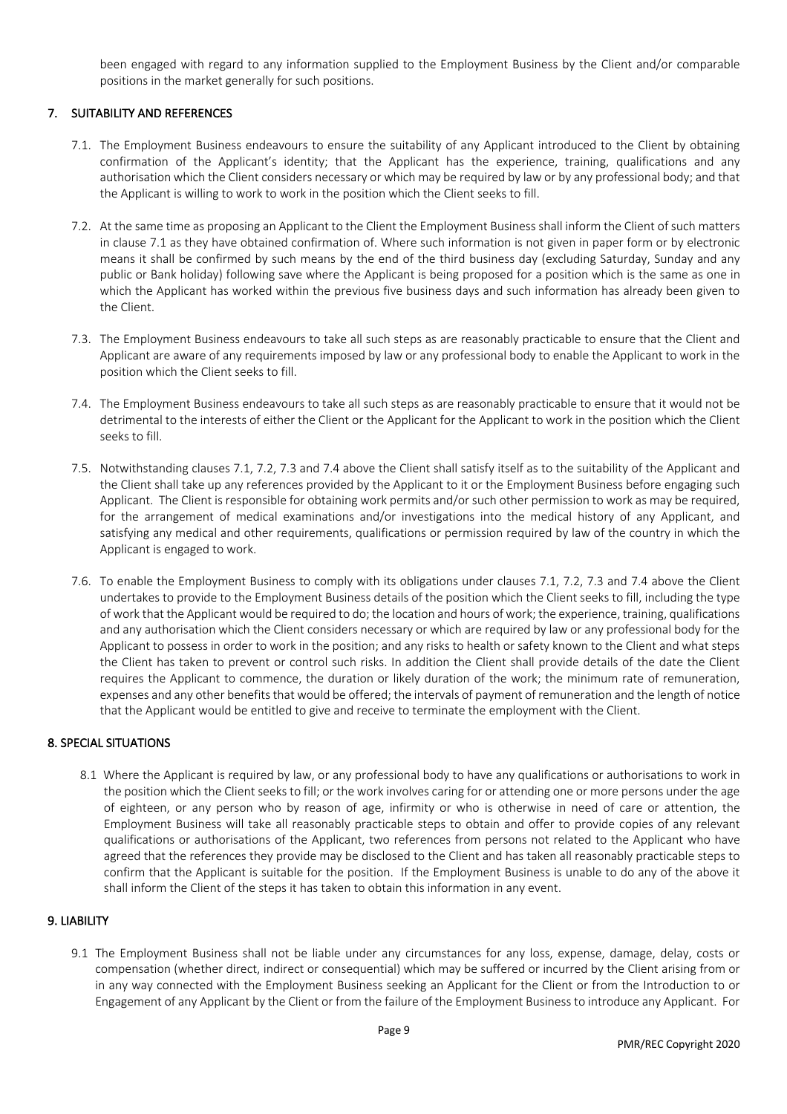been engaged with regard to any information supplied to the Employment Business by the Client and/or comparable positions in the market generally for such positions.

## 7. SUITABILITY AND REFERENCES

- 7.1. The Employment Business endeavours to ensure the suitability of any Applicant introduced to the Client by obtaining confirmation of the Applicant's identity; that the Applicant has the experience, training, qualifications and any authorisation which the Client considers necessary or which may be required by law or by any professional body; and that the Applicant is willing to work to work in the position which the Client seeks to fill.
- 7.2. At the same time as proposing an Applicant to the Client the Employment Business shall inform the Client of such matters in clause 7.1 as they have obtained confirmation of. Where such information is not given in paper form or by electronic means it shall be confirmed by such means by the end of the third business day (excluding Saturday, Sunday and any public or Bank holiday) following save where the Applicant is being proposed for a position which is the same as one in which the Applicant has worked within the previous five business days and such information has already been given to the Client.
- 7.3. The Employment Business endeavours to take all such steps as are reasonably practicable to ensure that the Client and Applicant are aware of any requirements imposed by law or any professional body to enable the Applicant to work in the position which the Client seeks to fill.
- 7.4. The Employment Business endeavours to take all such steps as are reasonably practicable to ensure that it would not be detrimental to the interests of either the Client or the Applicant for the Applicant to work in the position which the Client seeks to fill.
- 7.5. Notwithstanding clauses 7.1, 7.2, 7.3 and 7.4 above the Client shall satisfy itself as to the suitability of the Applicant and the Client shall take up any references provided by the Applicant to it or the Employment Business before engaging such Applicant. The Client is responsible for obtaining work permits and/or such other permission to work as may be required, for the arrangement of medical examinations and/or investigations into the medical history of any Applicant, and satisfying any medical and other requirements, qualifications or permission required by law of the country in which the Applicant is engaged to work.
- 7.6. To enable the Employment Business to comply with its obligations under clauses 7.1, 7.2, 7.3 and 7.4 above the Client undertakes to provide to the Employment Business details of the position which the Client seeks to fill, including the type of work that the Applicant would be required to do; the location and hours of work; the experience, training, qualifications and any authorisation which the Client considers necessary or which are required by law or any professional body for the Applicant to possess in order to work in the position; and any risks to health or safety known to the Client and what steps the Client has taken to prevent or control such risks. In addition the Client shall provide details of the date the Client requires the Applicant to commence, the duration or likely duration of the work; the minimum rate of remuneration, expenses and any other benefits that would be offered; the intervals of payment of remuneration and the length of notice that the Applicant would be entitled to give and receive to terminate the employment with the Client.

### 8. SPECIAL SITUATIONS

8.1 Where the Applicant is required by law, or any professional body to have any qualifications or authorisations to work in the position which the Client seeks to fill; or the work involves caring for or attending one or more persons under the age of eighteen, or any person who by reason of age, infirmity or who is otherwise in need of care or attention, the Employment Business will take all reasonably practicable steps to obtain and offer to provide copies of any relevant qualifications or authorisations of the Applicant, two references from persons not related to the Applicant who have agreed that the references they provide may be disclosed to the Client and has taken all reasonably practicable steps to confirm that the Applicant is suitable for the position. If the Employment Business is unable to do any of the above it shall inform the Client of the steps it has taken to obtain this information in any event.

#### 9. LIABILITY

9.1 The Employment Business shall not be liable under any circumstances for any loss, expense, damage, delay, costs or compensation (whether direct, indirect or consequential) which may be suffered or incurred by the Client arising from or in any way connected with the Employment Business seeking an Applicant for the Client or from the Introduction to or Engagement of any Applicant by the Client or from the failure of the Employment Business to introduce any Applicant. For